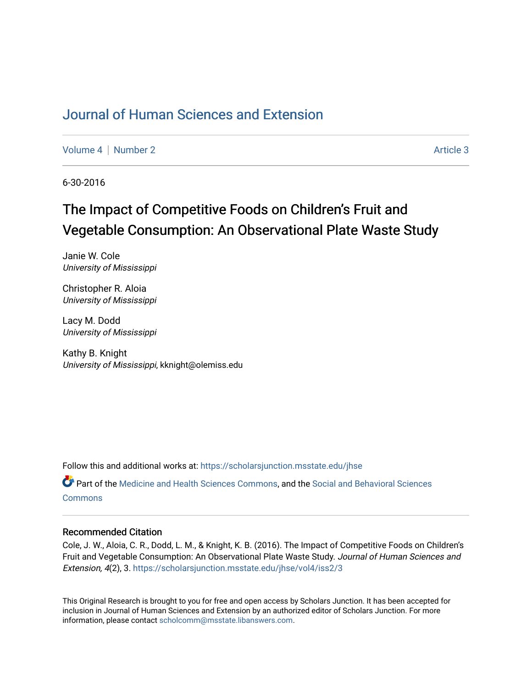# [Journal of Human Sciences and Extension](https://scholarsjunction.msstate.edu/jhse)

[Volume 4](https://scholarsjunction.msstate.edu/jhse/vol4) | [Number 2](https://scholarsjunction.msstate.edu/jhse/vol4/iss2) Article 3

6-30-2016

# The Impact of Competitive Foods on Children's Fruit and Vegetable Consumption: An Observational Plate Waste Study

Janie W. Cole University of Mississippi

Christopher R. Aloia University of Mississippi

Lacy M. Dodd University of Mississippi

Kathy B. Knight University of Mississippi, kknight@olemiss.edu

Follow this and additional works at: [https://scholarsjunction.msstate.edu/jhse](https://scholarsjunction.msstate.edu/jhse?utm_source=scholarsjunction.msstate.edu%2Fjhse%2Fvol4%2Fiss2%2F3&utm_medium=PDF&utm_campaign=PDFCoverPages)

Part of the [Medicine and Health Sciences Commons,](http://network.bepress.com/hgg/discipline/648?utm_source=scholarsjunction.msstate.edu%2Fjhse%2Fvol4%2Fiss2%2F3&utm_medium=PDF&utm_campaign=PDFCoverPages) and the [Social and Behavioral Sciences](http://network.bepress.com/hgg/discipline/316?utm_source=scholarsjunction.msstate.edu%2Fjhse%2Fvol4%2Fiss2%2F3&utm_medium=PDF&utm_campaign=PDFCoverPages) **[Commons](http://network.bepress.com/hgg/discipline/316?utm_source=scholarsjunction.msstate.edu%2Fjhse%2Fvol4%2Fiss2%2F3&utm_medium=PDF&utm_campaign=PDFCoverPages)** 

#### Recommended Citation

Cole, J. W., Aloia, C. R., Dodd, L. M., & Knight, K. B. (2016). The Impact of Competitive Foods on Children's Fruit and Vegetable Consumption: An Observational Plate Waste Study. Journal of Human Sciences and Extension, 4(2), 3. [https://scholarsjunction.msstate.edu/jhse/vol4/iss2/3](https://scholarsjunction.msstate.edu/jhse/vol4/iss2/3?utm_source=scholarsjunction.msstate.edu%2Fjhse%2Fvol4%2Fiss2%2F3&utm_medium=PDF&utm_campaign=PDFCoverPages) 

This Original Research is brought to you for free and open access by Scholars Junction. It has been accepted for inclusion in Journal of Human Sciences and Extension by an authorized editor of Scholars Junction. For more information, please contact [scholcomm@msstate.libanswers.com](mailto:scholcomm@msstate.libanswers.com).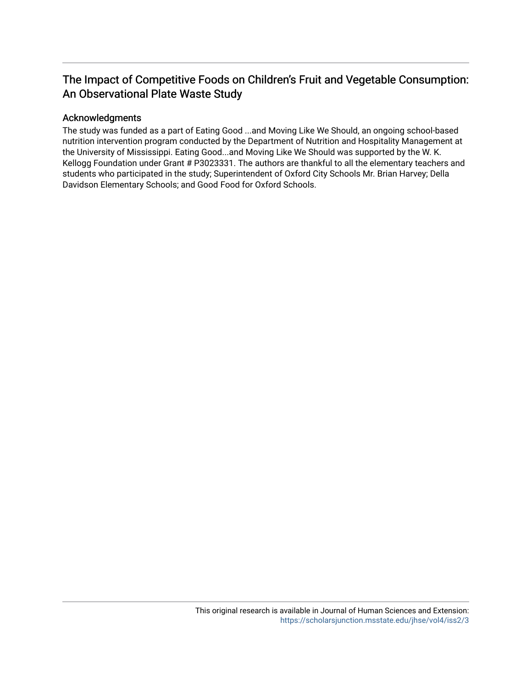# The Impact of Competitive Foods on Children's Fruit and Vegetable Consumption: An Observational Plate Waste Study

# Acknowledgments

The study was funded as a part of Eating Good ...and Moving Like We Should, an ongoing school-based nutrition intervention program conducted by the Department of Nutrition and Hospitality Management at the University of Mississippi. Eating Good...and Moving Like We Should was supported by the W. K. Kellogg Foundation under Grant # P3023331. The authors are thankful to all the elementary teachers and students who participated in the study; Superintendent of Oxford City Schools Mr. Brian Harvey; Della Davidson Elementary Schools; and Good Food for Oxford Schools.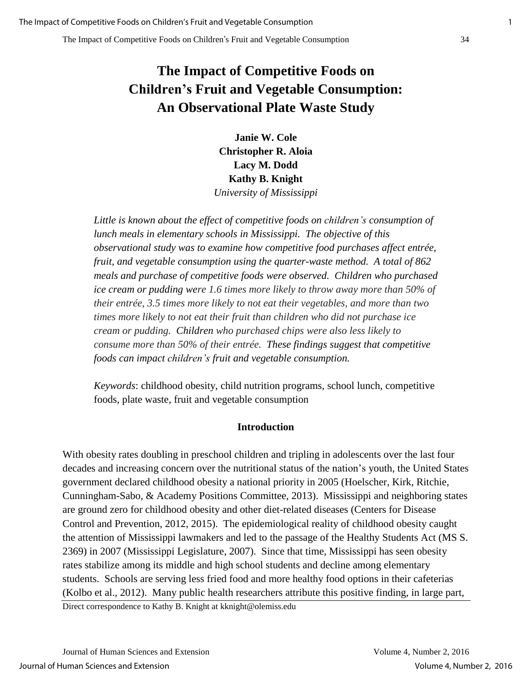# **The Impact of Competitive Foods on Children's Fruit and Vegetable Consumption: An Observational Plate Waste Study**

**Janie W. Cole Christopher R. Aloia Lacy M. Dodd Kathy B. Knight**  *University of Mississippi* 

*Little is known about the effect of competitive foods on children's consumption of lunch meals in elementary schools in Mississippi. The objective of this observational study was to examine how competitive food purchases affect entrée, fruit, and vegetable consumption using the quarter-waste method. A total of 862 meals and purchase of competitive foods were observed. Children who purchased ice cream or pudding were 1.6 times more likely to throw away more than 50% of their entrée, 3.5 times more likely to not eat their vegetables, and more than two times more likely to not eat their fruit than children who did not purchase ice cream or pudding. Children who purchased chips were also less likely to consume more than 50% of their entrée. These findings suggest that competitive foods can impact children's fruit and vegetable consumption.* 

*Keywords*: childhood obesity, child nutrition programs, school lunch, competitive foods, plate waste, fruit and vegetable consumption

#### **Introduction**

With obesity rates doubling in preschool children and tripling in adolescents over the last four decades and increasing concern over the nutritional status of the nation's youth, the United States government declared childhood obesity a national priority in 2005 (Hoelscher, Kirk, Ritchie, Cunningham-Sabo, & Academy Positions Committee, 2013). Mississippi and neighboring states are ground zero for childhood obesity and other diet-related diseases (Centers for Disease Control and Prevention, 2012, 2015). The epidemiological reality of childhood obesity caught the attention of Mississippi lawmakers and led to the passage of the Healthy Students Act (MS S. 2369) in 2007 (Mississippi Legislature, 2007). Since that time, Mississippi has seen obesity rates stabilize among its middle and high school students and decline among elementary students. Schools are serving less fried food and more healthy food options in their cafeterias (Kolbo et al., 2012). Many public health researchers attribute this positive finding, in large part, Direct correspondence to Kathy B. Knight at kknight@olemiss.edu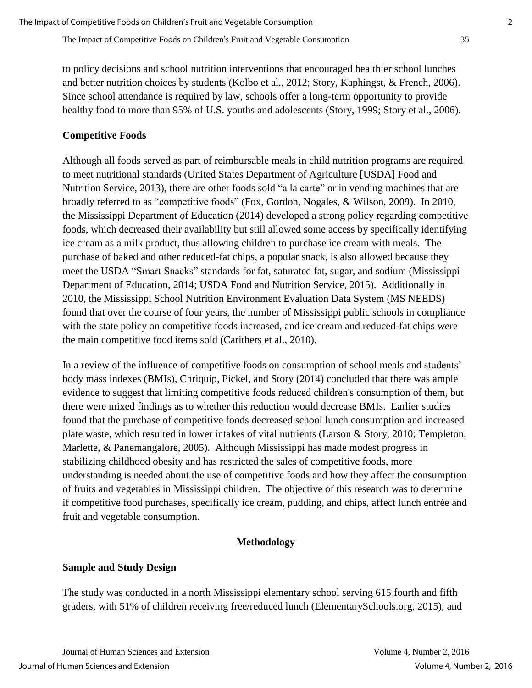to policy decisions and school nutrition interventions that encouraged healthier school lunches and better nutrition choices by students (Kolbo et al., 2012; Story, Kaphingst, & French, 2006). Since school attendance is required by law, schools offer a long-term opportunity to provide healthy food to more than 95% of U.S. youths and adolescents (Story, 1999; Story et al., 2006).

## **Competitive Foods**

Although all foods served as part of reimbursable meals in child nutrition programs are required to meet nutritional standards (United States Department of Agriculture [USDA] Food and Nutrition Service, 2013), there are other foods sold "a la carte" or in vending machines that are broadly referred to as "competitive foods" (Fox, Gordon, Nogales, & Wilson, 2009). In 2010, the Mississippi Department of Education (2014) developed a strong policy regarding competitive foods, which decreased their availability but still allowed some access by specifically identifying ice cream as a milk product, thus allowing children to purchase ice cream with meals. The purchase of baked and other reduced-fat chips, a popular snack, is also allowed because they meet the USDA "Smart Snacks" standards for fat, saturated fat, sugar, and sodium (Mississippi Department of Education, 2014; USDA Food and Nutrition Service, 2015). Additionally in 2010, the Mississippi School Nutrition Environment Evaluation Data System (MS NEEDS) found that over the course of four years, the number of Mississippi public schools in compliance with the state policy on competitive foods increased, and ice cream and reduced-fat chips were the main competitive food items sold (Carithers et al., 2010).

In a review of the influence of competitive foods on consumption of school meals and students' body mass indexes (BMIs), Chriquip, Pickel, and Story (2014) concluded that there was ample evidence to suggest that limiting competitive foods reduced children's consumption of them, but there were mixed findings as to whether this reduction would decrease BMIs. Earlier studies found that the purchase of competitive foods decreased school lunch consumption and increased plate waste, which resulted in lower intakes of vital nutrients (Larson & Story, 2010; Templeton, Marlette, & Panemangalore, 2005). Although Mississippi has made modest progress in stabilizing childhood obesity and has restricted the sales of competitive foods, more understanding is needed about the use of competitive foods and how they affect the consumption of fruits and vegetables in Mississippi children. The objective of this research was to determine if competitive food purchases, specifically ice cream, pudding, and chips, affect lunch entrée and fruit and vegetable consumption.

#### **Methodology**

#### **Sample and Study Design**

The study was conducted in a north Mississippi elementary school serving 615 fourth and fifth graders, with 51% of children receiving free/reduced lunch (ElementarySchools.org, 2015), and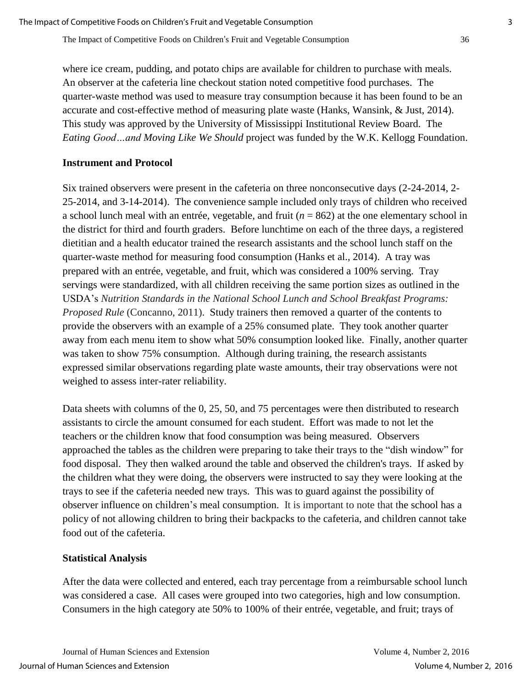where ice cream, pudding, and potato chips are available for children to purchase with meals. An observer at the cafeteria line checkout station noted competitive food purchases. The quarter-waste method was used to measure tray consumption because it has been found to be an accurate and cost-effective method of measuring plate waste (Hanks, Wansink, & Just, 2014). This study was approved by the University of Mississippi Institutional Review Board. The *Eating Good…and Moving Like We Should* project was funded by the W.K. Kellogg Foundation.

#### **Instrument and Protocol**

Six trained observers were present in the cafeteria on three nonconsecutive days (2-24-2014, 2- 25-2014, and 3-14-2014). The convenience sample included only trays of children who received a school lunch meal with an entrée, vegetable, and fruit (*n* = 862) at the one elementary school in the district for third and fourth graders. Before lunchtime on each of the three days, a registered dietitian and a health educator trained the research assistants and the school lunch staff on the quarter-waste method for measuring food consumption (Hanks et al., 2014). A tray was prepared with an entrée, vegetable, and fruit, which was considered a 100% serving. Tray servings were standardized, with all children receiving the same portion sizes as outlined in the USDA's *Nutrition Standards in the National School Lunch and School Breakfast Programs: Proposed Rule* (Concanno, 2011). Study trainers then removed a quarter of the contents to provide the observers with an example of a 25% consumed plate. They took another quarter away from each menu item to show what 50% consumption looked like. Finally, another quarter was taken to show 75% consumption. Although during training, the research assistants expressed similar observations regarding plate waste amounts, their tray observations were not weighed to assess inter-rater reliability.

Data sheets with columns of the 0, 25, 50, and 75 percentages were then distributed to research assistants to circle the amount consumed for each student. Effort was made to not let the teachers or the children know that food consumption was being measured. Observers approached the tables as the children were preparing to take their trays to the "dish window" for food disposal. They then walked around the table and observed the children's trays. If asked by the children what they were doing, the observers were instructed to say they were looking at the trays to see if the cafeteria needed new trays. This was to guard against the possibility of observer influence on children's meal consumption. It is important to note that the school has a policy of not allowing children to bring their backpacks to the cafeteria, and children cannot take food out of the cafeteria.

## **Statistical Analysis**

After the data were collected and entered, each tray percentage from a reimbursable school lunch was considered a case. All cases were grouped into two categories, high and low consumption. Consumers in the high category ate 50% to 100% of their entrée, vegetable, and fruit; trays of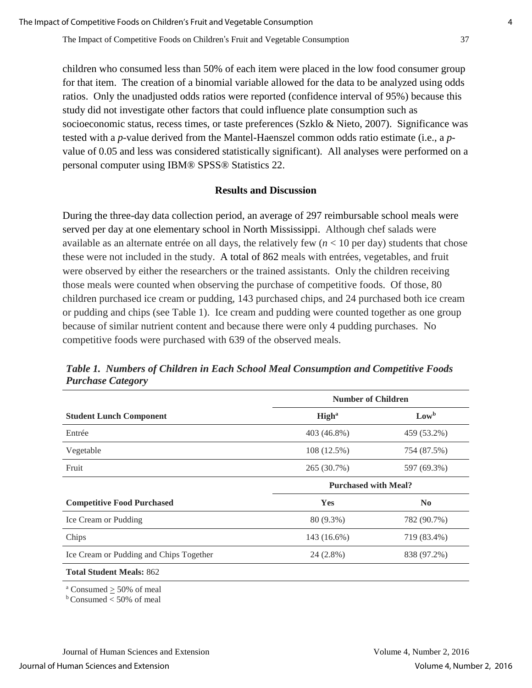children who consumed less than 50% of each item were placed in the low food consumer group for that item. The creation of a binomial variable allowed for the data to be analyzed using odds ratios. Only the unadjusted odds ratios were reported (confidence interval of 95%) because this study did not investigate other factors that could influence plate consumption such as socioeconomic status, recess times, or taste preferences (Szklo & Nieto, 2007). Significance was tested with a *p*-value derived from the Mantel-Haenszel common odds ratio estimate (i.e., a *p*value of 0.05 and less was considered statistically significant). All analyses were performed on a personal computer using IBM® SPSS® Statistics 22.

#### **Results and Discussion**

During the three-day data collection period, an average of 297 reimbursable school meals were served per day at one elementary school in North Mississippi. Although chef salads were available as an alternate entrée on all days, the relatively few  $(n < 10$  per day) students that chose these were not included in the study. A total of 862 meals with entrées, vegetables, and fruit were observed by either the researchers or the trained assistants. Only the children receiving those meals were counted when observing the purchase of competitive foods. Of those, 80 children purchased ice cream or pudding, 143 purchased chips, and 24 purchased both ice cream or pudding and chips (see Table 1). Ice cream and pudding were counted together as one group because of similar nutrient content and because there were only 4 pudding purchases. No competitive foods were purchased with 639 of the observed meals.

|                                         | <b>Number of Children</b>   |                |  |  |  |  |
|-----------------------------------------|-----------------------------|----------------|--|--|--|--|
| <b>Student Lunch Component</b>          | <b>High</b> <sup>a</sup>    | $Low^b$        |  |  |  |  |
| Entrée                                  | 403 (46.8%)                 | 459 (53.2%)    |  |  |  |  |
| Vegetable                               | 108 (12.5%)                 | 754 (87.5%)    |  |  |  |  |
| Fruit                                   | 265 (30.7%)                 | 597 (69.3%)    |  |  |  |  |
|                                         | <b>Purchased with Meal?</b> |                |  |  |  |  |
| <b>Competitive Food Purchased</b>       | Yes                         | N <sub>0</sub> |  |  |  |  |
| Ice Cream or Pudding                    | 80 (9.3%)                   | 782 (90.7%)    |  |  |  |  |
| Chips                                   | 143 (16.6%)                 | 719 (83.4%)    |  |  |  |  |
| Ice Cream or Pudding and Chips Together | 24 (2.8%)                   | 838 (97.2%)    |  |  |  |  |
| <b>Total Student Meals: 862</b>         |                             |                |  |  |  |  |
| $\alpha$ Consumed $>$ 50% of meal       |                             |                |  |  |  |  |

*Table 1. Numbers of Children in Each School Meal Consumption and Competitive Foods Purchase Category*

 $<sub>b</sub>$  Consumed  $<$  50% of meal</sub>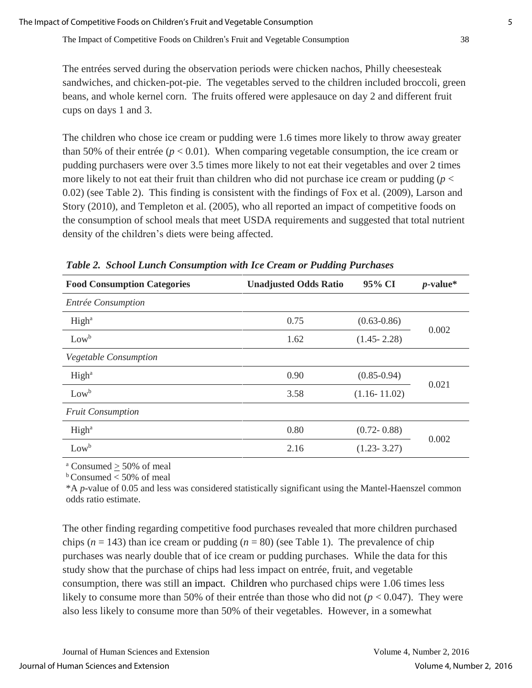The entrées served during the observation periods were chicken nachos, Philly cheesesteak sandwiches, and chicken-pot-pie. The vegetables served to the children included broccoli, green beans, and whole kernel corn. The fruits offered were applesauce on day 2 and different fruit cups on days 1 and 3.

The children who chose ice cream or pudding were 1.6 times more likely to throw away greater than 50% of their entrée ( $p < 0.01$ ). When comparing vegetable consumption, the ice cream or pudding purchasers were over 3.5 times more likely to not eat their vegetables and over 2 times more likely to not eat their fruit than children who did not purchase ice cream or pudding  $(p <$ 0.02) (see Table 2). This finding is consistent with the findings of Fox et al. (2009), Larson and Story (2010), and Templeton et al. (2005), who all reported an impact of competitive foods on the consumption of school meals that meet USDA requirements and suggested that total nutrient density of the children's diets were being affected.

| <b>Food Consumption Categories</b> | <b>Unadjusted Odds Ratio</b> | 95% CI           | $p$ -value* |
|------------------------------------|------------------------------|------------------|-------------|
| Entrée Consumption                 |                              |                  |             |
| High <sup>a</sup>                  | 0.75                         | $(0.63 - 0.86)$  | 0.002       |
| $Low^b$                            | 1.62                         | $(1.45 - 2.28)$  |             |
| Vegetable Consumption              |                              |                  |             |
| High <sup>a</sup>                  | 0.90                         | $(0.85 - 0.94)$  | 0.021       |
| $Low^b$                            | 3.58                         | $(1.16 - 11.02)$ |             |
| <b>Fruit Consumption</b>           |                              |                  |             |
| High <sup>a</sup>                  | 0.80                         | $(0.72 - 0.88)$  | 0.002       |
| $Low^b$                            | 2.16                         | $(1.23 - 3.27)$  |             |

*Table 2. School Lunch Consumption with Ice Cream or Pudding Purchases*

 $a$  Consumed  $>$  50% of meal

 $b$  Consumed  $<$  50% of meal

\*A *p*-value of 0.05 and less was considered statistically significant using the Mantel-Haenszel common odds ratio estimate.

The other finding regarding competitive food purchases revealed that more children purchased chips ( $n = 143$ ) than ice cream or pudding ( $n = 80$ ) (see Table 1). The prevalence of chip purchases was nearly double that of ice cream or pudding purchases. While the data for this study show that the purchase of chips had less impact on entrée, fruit, and vegetable consumption, there was still an impact. Children who purchased chips were 1.06 times less likely to consume more than 50% of their entrée than those who did not  $(p < 0.047)$ . They were also less likely to consume more than 50% of their vegetables. However, in a somewhat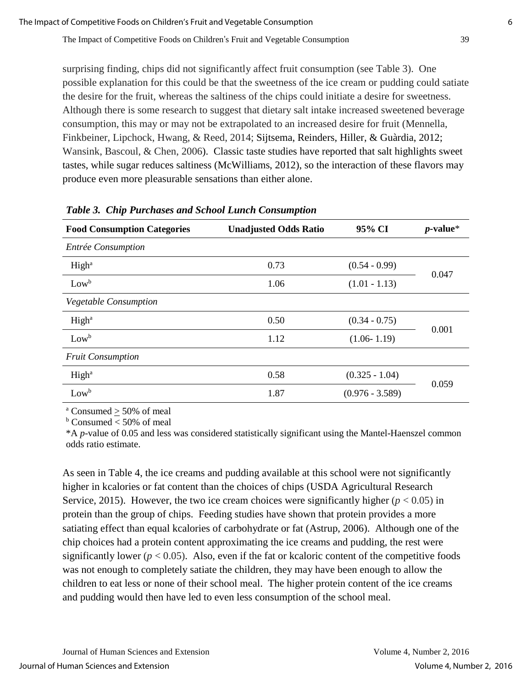surprising finding, chips did not significantly affect fruit consumption (see Table 3). One possible explanation for this could be that the sweetness of the ice cream or pudding could satiate the desire for the fruit, whereas the saltiness of the chips could initiate a desire for sweetness. Although there is some research to suggest that dietary salt intake increased sweetened beverage consumption, this may or may not be extrapolated to an increased desire for fruit (Mennella, Finkbeiner, Lipchock, Hwang, & Reed, 2014; Sijtsema, Reinders, Hiller, & Guàrdia, 2012; Wansink, Bascoul, & Chen, 2006). Classic taste studies have reported that salt highlights sweet tastes, while sugar reduces saltiness (McWilliams, 2012), so the interaction of these flavors may produce even more pleasurable sensations than either alone.

| <b>Food Consumption Categories</b> | <b>Unadjusted Odds Ratio</b> | 95% CI            | $p$ -value* |  |
|------------------------------------|------------------------------|-------------------|-------------|--|
| Entrée Consumption                 |                              |                   |             |  |
| High <sup>a</sup>                  | 0.73                         | $(0.54 - 0.99)$   | 0.047       |  |
| $Low^b$                            | 1.06                         | $(1.01 - 1.13)$   |             |  |
| <b>Vegetable Consumption</b>       |                              |                   |             |  |
| High <sup>a</sup>                  | 0.50                         | $(0.34 - 0.75)$   |             |  |
| $Low^b$                            | 1.12                         | $(1.06 - 1.19)$   | 0.001       |  |
| <b>Fruit Consumption</b>           |                              |                   |             |  |
| High <sup>a</sup>                  | 0.58                         | $(0.325 - 1.04)$  |             |  |
| $Low^b$                            | 1.87                         | $(0.976 - 3.589)$ | 0.059       |  |

#### *Table 3. Chip Purchases and School Lunch Consumption*

 $a$  Consumed  $>$  50% of meal

 $b$  Consumed  $<$  50% of meal

\*A *p*-value of 0.05 and less was considered statistically significant using the Mantel-Haenszel common odds ratio estimate.

As seen in Table 4, the ice creams and pudding available at this school were not significantly higher in kcalories or fat content than the choices of chips (USDA Agricultural Research Service, 2015). However, the two ice cream choices were significantly higher  $(p < 0.05)$  in protein than the group of chips. Feeding studies have shown that protein provides a more satiating effect than equal kcalories of carbohydrate or fat (Astrup, 2006). Although one of the chip choices had a protein content approximating the ice creams and pudding, the rest were significantly lower  $(p < 0.05)$ . Also, even if the fat or kcaloric content of the competitive foods was not enough to completely satiate the children, they may have been enough to allow the children to eat less or none of their school meal. The higher protein content of the ice creams and pudding would then have led to even less consumption of the school meal.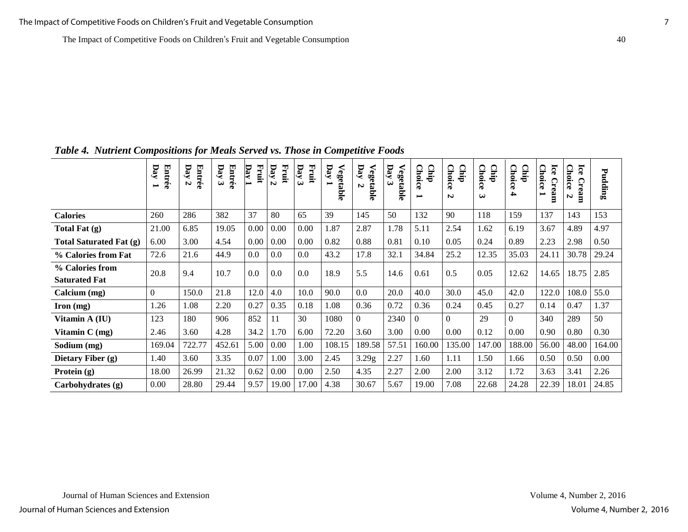|                                         | Entrée<br>Day<br>$\overline{\phantom{0}}$ | <b>Entrée</b><br>Day<br>$\boldsymbol{\omega}$ | Entrée<br>Day<br>$\tilde{\mathbf{c}}$ | Fruit<br>$\overline{\mathbf{p}}$ ay | Day<br>Fruit<br>$\triangleright$ | Fruit<br>Day<br>$\boldsymbol{\omega}$ | $\mathbf{Day}$<br>Vegetable | pay<br>Vegetable<br>N | Day<br>≺<br>egetable<br>ى | Cinip<br><b>Choice</b><br>$\blacksquare$ | Chip<br><b>Choice</b><br>N | ◠<br>$\Omega$<br>hoice.<br>Ę.<br>$\boldsymbol{\omega}$ | <b>Choice</b><br>Cinip<br>4 | Ice<br><b>Choice</b><br>Cream<br>$\overline{}$ | Ice<br><b>Choice</b><br>Cream<br>N | Pudding |
|-----------------------------------------|-------------------------------------------|-----------------------------------------------|---------------------------------------|-------------------------------------|----------------------------------|---------------------------------------|-----------------------------|-----------------------|---------------------------|------------------------------------------|----------------------------|--------------------------------------------------------|-----------------------------|------------------------------------------------|------------------------------------|---------|
| <b>Calories</b>                         | 260                                       | 286                                           | 382                                   | 37                                  | 80                               | 65                                    | 39                          | 145                   | 50                        | 132                                      | 90                         | 118                                                    | 159                         | 137                                            | 143                                | 153     |
| Total Fat (g)                           | 21.00                                     | 6.85                                          | 19.05                                 | 0.00                                | 0.00                             | 0.00                                  | 1.87                        | 2.87                  | 1.78                      | 5.11                                     | 2.54                       | 1.62                                                   | 6.19                        | 3.67                                           | 4.89                               | 4.97    |
| <b>Total Saturated Fat (g)</b>          | 6.00                                      | 3.00                                          | 4.54                                  | 0.00                                | 0.00                             | 0.00                                  | 0.82                        | 0.88                  | 0.81                      | 0.10                                     | 0.05                       | 0.24                                                   | 0.89                        | 2.23                                           | 2.98                               | 0.50    |
| % Calories from Fat                     | 72.6                                      | 21.6                                          | 44.9                                  | 0.0                                 | $0.0\,$                          | 0.0                                   | 43.2                        | 17.8                  | 32.1                      | 34.84                                    | 25.2                       | 12.35                                                  | 35.03                       | 24.11                                          | 30.78                              | 29.24   |
| % Calories from<br><b>Saturated Fat</b> | 20.8                                      | 9.4                                           | 10.7                                  | 0.0                                 | $0.0\,$                          | 0.0                                   | 18.9                        | 5.5                   | 14.6                      | 0.61                                     | 0.5                        | 0.05                                                   | 12.62                       | 14.65                                          | 18.75                              | 2.85    |
| Calcium (mg)                            | $\boldsymbol{0}$                          | 150.0                                         | 21.8                                  | 12.0                                | 4.0                              | 10.0                                  | 90.0                        | 0.0                   | 20.0                      | 40.0                                     | 30.0                       | 45.0                                                   | 42.0                        | 122.0                                          | 108.0                              | 55.0    |
| $\Gamma$ Iron (mg)                      | 1.26                                      | 1.08                                          | 2.20                                  | 0.27                                | 0.35                             | 0.18                                  | 1.08                        | 0.36                  | 0.72                      | 0.36                                     | 0.24                       | 0.45                                                   | 0.27                        | 0.14                                           | 0.47                               | 1.37    |
| Vitamin A (IU)                          | 123                                       | 180                                           | 906                                   | 852                                 | 11                               | 30                                    | 1080                        | $\Omega$              | 2340                      | $\Omega$                                 | $\theta$                   | 29                                                     | $\Omega$                    | 340                                            | 289                                | 50      |
| Vitamin $C$ (mg)                        | 2.46                                      | 3.60                                          | 4.28                                  | 34.2                                | 1.70                             | 6.00                                  | 72.20                       | 3.60                  | 3.00                      | 0.00                                     | 0.00                       | 0.12                                                   | 0.00                        | 0.90                                           | 0.80                               | 0.30    |
| Sodium (mg)                             | 169.04                                    | 722.77                                        | 452.61                                | 5.00                                | 0.00                             | 1.00                                  | 108.15                      | 189.58                | 57.51                     | 160.00                                   | 135.00                     | 147.00                                                 | 188.00                      | 56.00                                          | 48.00                              | 164.00  |
| Dietary Fiber (g)                       | 1.40                                      | 3.60                                          | 3.35                                  | 0.07                                | 1.00                             | 3.00                                  | 2.45                        | 3.29g                 | 2.27                      | 1.60                                     | 1.11                       | 1.50                                                   | 1.66                        | 0.50                                           | 0.50                               | 0.00    |
| Protein $(g)$                           | 18.00                                     | 26.99                                         | 21.32                                 | 0.62                                | 0.00                             | 0.00                                  | 2.50                        | 4.35                  | 2.27                      | 2.00                                     | 2.00                       | 3.12                                                   | 1.72                        | 3.63                                           | 3.41                               | 2.26    |
| Carbohydrates (g)                       | 0.00                                      | 28.80                                         | 29.44                                 | 9.57                                | 19.00                            | 17.00                                 | 4.38                        | 30.67                 | 5.67                      | 19.00                                    | 7.08                       | 22.68                                                  | 24.28                       | 22.39                                          | 18.01                              | 24.85   |

*Table 4. Nutrient Compositions for Meals Served vs. Those in Competitive Foods*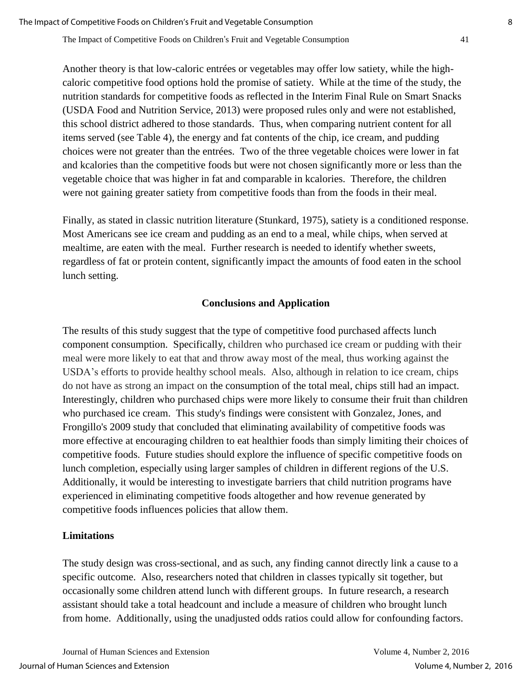Another theory is that low-caloric entrées or vegetables may offer low satiety, while the highcaloric competitive food options hold the promise of satiety. While at the time of the study, the nutrition standards for competitive foods as reflected in the Interim Final Rule on Smart Snacks (USDA Food and Nutrition Service, 2013) were proposed rules only and were not established, this school district adhered to those standards. Thus, when comparing nutrient content for all items served (see Table 4), the energy and fat contents of the chip, ice cream, and pudding choices were not greater than the entrées. Two of the three vegetable choices were lower in fat and kcalories than the competitive foods but were not chosen significantly more or less than the vegetable choice that was higher in fat and comparable in kcalories. Therefore, the children were not gaining greater satiety from competitive foods than from the foods in their meal.

Finally, as stated in classic nutrition literature (Stunkard, 1975), satiety is a conditioned response. Most Americans see ice cream and pudding as an end to a meal, while chips, when served at mealtime, are eaten with the meal. Further research is needed to identify whether sweets, regardless of fat or protein content, significantly impact the amounts of food eaten in the school lunch setting.

# **Conclusions and Application**

The results of this study suggest that the type of competitive food purchased affects lunch component consumption. Specifically, children who purchased ice cream or pudding with their meal were more likely to eat that and throw away most of the meal, thus working against the USDA's efforts to provide healthy school meals. Also, although in relation to ice cream, chips do not have as strong an impact on the consumption of the total meal, chips still had an impact. Interestingly, children who purchased chips were more likely to consume their fruit than children who purchased ice cream. This study's findings were consistent with Gonzalez, Jones, and Frongillo's 2009 study that concluded that eliminating availability of competitive foods was more effective at encouraging children to eat healthier foods than simply limiting their choices of competitive foods. Future studies should explore the influence of specific competitive foods on lunch completion, especially using larger samples of children in different regions of the U.S. Additionally, it would be interesting to investigate barriers that child nutrition programs have experienced in eliminating competitive foods altogether and how revenue generated by competitive foods influences policies that allow them.

## **Limitations**

The study design was cross-sectional, and as such, any finding cannot directly link a cause to a specific outcome. Also, researchers noted that children in classes typically sit together, but occasionally some children attend lunch with different groups. In future research, a research assistant should take a total headcount and include a measure of children who brought lunch from home. Additionally, using the unadjusted odds ratios could allow for confounding factors.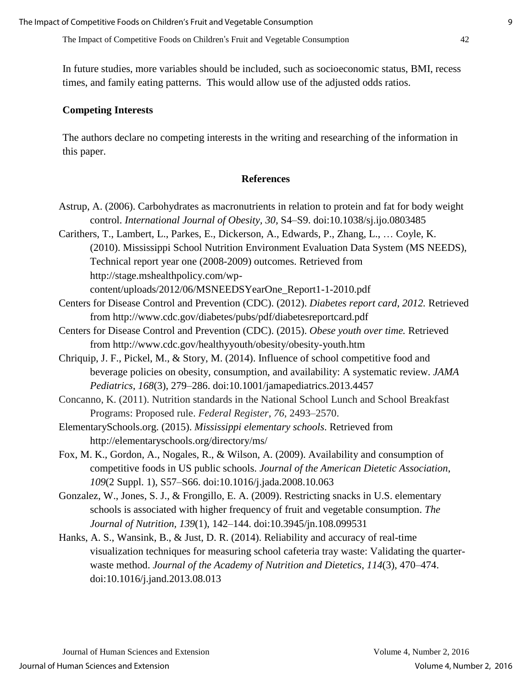In future studies, more variables should be included, such as socioeconomic status, BMI, recess times, and family eating patterns. This would allow use of the adjusted odds ratios.

#### **Competing Interests**

The authors declare no competing interests in the writing and researching of the information in this paper.

#### **References**

- Astrup, A. (2006). Carbohydrates as macronutrients in relation to protein and fat for body weight control. *International Journal of Obesity, 30,* S4–S9. doi:10.1038/sj.ijo.0803485
- Carithers, T., Lambert, L., Parkes, E., Dickerson, A., Edwards, P., Zhang, L., … Coyle, K. (2010). Mississippi School Nutrition Environment Evaluation Data System (MS NEEDS), Technical report year one (2008-2009) outcomes. Retrieved from http://stage.mshealthpolicy.com/wp-

content/uploads/2012/06/MSNEEDSYearOne\_Report1-1-2010.pdf

- Centers for Disease Control and Prevention (CDC). (2012). *Diabetes report card, 2012.* Retrieved from<http://www.cdc.gov/diabetes/pubs/pdf/diabetesreportcard.pdf>
- Centers for Disease Control and Prevention (CDC). (2015). *Obese youth over time.* Retrieved from<http://www.cdc.gov/healthyyouth/obesity/obesity-youth.htm>
- Chriquip, J. F., Pickel, M., & Story, M. (2014). Influence of school competitive food and beverage policies on obesity, consumption, and availability: A systematic review. *JAMA Pediatrics*, *168*(3), 279–286. doi:10.1001/jamapediatrics.2013.4457
- Concanno, K. (2011). Nutrition standards in the National School Lunch and School Breakfast Programs: Proposed rule. *Federal Register*, *76*, 2493–2570.
- ElementarySchools.org. (2015). *Mississippi elementary schools*. Retrieved from http://elementaryschools.org/directory/ms/
- Fox, M. K., Gordon, A., Nogales, R., & Wilson, A. (2009). Availability and consumption of competitive foods in US public schools. *Journal of the American Dietetic Association*, *109*(2 Suppl. 1), S57–S66. doi:10.1016/j.jada.2008.10.063
- Gonzalez, W., Jones, S. J., & Frongillo, E. A. (2009). Restricting snacks in U.S. elementary schools is associated with higher frequency of fruit and vegetable consumption. *The Journal of Nutrition, 139*(1), 142–144. doi:10.3945/jn.108.099531
- Hanks, A. S., Wansink, B., & Just, D. R. (2014). Reliability and accuracy of real-time visualization techniques for measuring school cafeteria tray waste: Validating the quarterwaste method. *Journal of the Academy of Nutrition and Dietetics*, *114*(3), 470–474. doi:10.1016/j.jand.2013.08.013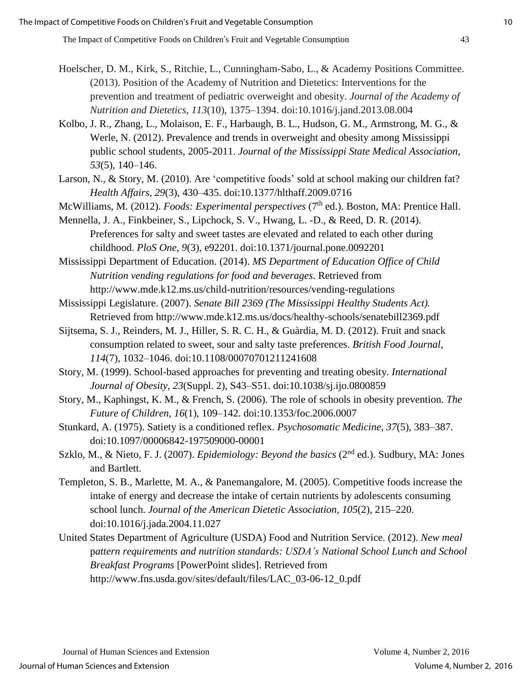- Hoelscher, D. M., Kirk, S., Ritchie, L., Cunningham-Sabo, L., & Academy Positions Committee. (2013). Position of the Academy of Nutrition and Dietetics: Interventions for the prevention and treatment of pediatric overweight and obesity. *Journal of the Academy of Nutrition and Dietetics*, *113*(10), 1375–1394. doi:10.1016/j.jand.2013.08.004
- Kolbo, J. R., Zhang, L., Molaison, E. F., Harbaugh, B. L., Hudson, G. M., Armstrong, M. G., & Werle, N. (2012). Prevalence and trends in overweight and obesity among Mississippi public school students, 2005-2011. *Journal of the Mississippi State Medical Association*, *53*(5), 140–146.
- Larson, N., & Story, M. (2010). Are 'competitive foods' sold at school making our children fat? *Health Affairs*, *29*(3), 430–435. doi:10.1377/hlthaff.2009.0716
- McWilliams, M. (2012). *Foods: Experimental perspectives* (7<sup>th</sup> ed.). Boston, MA: Prentice Hall.
- Mennella, J. A., Finkbeiner, S., Lipchock, S. V., Hwang, L. -D., & Reed, D. R. (2014). Preferences for salty and sweet tastes are elevated and related to each other during childhood. *PloS One*, *9*(3), e92201. doi:10.1371/journal.pone.0092201

Mississippi Department of Education. (2014). *MS Department of Education Office of Child Nutrition vending regulations for food and beverages*. Retrieved from http://www.mde.k12.ms.us/child-nutrition/resources/vending-regulations

Mississippi Legislature. (2007). *Senate Bill 2369 (The Mississippi Healthy Students Act).* Retrieved from http://www.mde.k12.ms.us/docs/healthy-schools/senatebill2369.pdf

- Sijtsema, S. J., Reinders, M. J., Hiller, S. R. C. H., & Guàrdia, M. D. (2012). Fruit and snack consumption related to sweet, sour and salty taste preferences. *British Food Journal, 114*(7), 1032–1046. doi:10.1108/00070701211241608
- Story, M. (1999). School-based approaches for preventing and treating obesity. *International Journal of Obesity, 23*(Suppl. 2), S43–S51. doi:10.1038/sj.ijo.0800859
- Story, M., Kaphingst, K. M., & French, S. (2006). The role of schools in obesity prevention. *The Future of Children, 16*(1), 109–142. doi:10.1353/foc.2006.0007
- Stunkard, A. (1975). Satiety is a conditioned reflex. *Psychosomatic Medicine*, *37*(5), 383–387. doi:10.1097/00006842-197509000-00001
- Szklo, M., & Nieto, F. J. (2007). *Epidemiology: Beyond the basics* (2nd ed.). Sudbury, MA: Jones and Bartlett.
- Templeton, S. B., Marlette, M. A., & Panemangalore, M. (2005). Competitive foods increase the intake of energy and decrease the intake of certain nutrients by adolescents consuming school lunch. *Journal of the American Dietetic Association, 105*(2), 215–220. doi:10.1016/j.jada.2004.11.027
- United States Department of Agriculture (USDA) Food and Nutrition Service. (2012). *New meal* p*attern requirements and nutrition standards: USDA's National School Lunch and School Breakfast Programs* [PowerPoint slides]. Retrieved from http://www.fns.usda.gov/sites/default/files/LAC\_03-06-12\_0.pdf